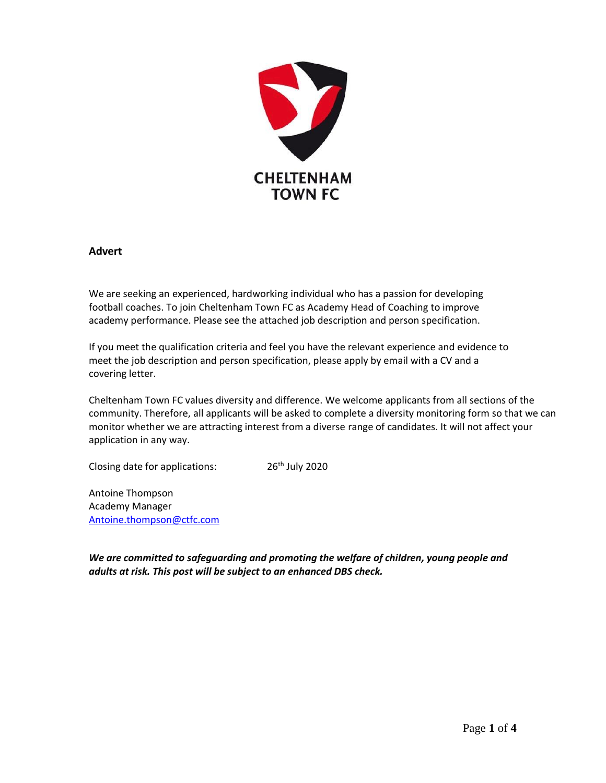

## **Advert**

We are seeking an experienced, hardworking individual who has a passion for developing football coaches. To join Cheltenham Town FC as Academy Head of Coaching to improve academy performance. Please see the attached job description and person specification.

If you meet the qualification criteria and feel you have the relevant experience and evidence to meet the job description and person specification, please apply by email with a CV and a covering letter.

Cheltenham Town FC values diversity and difference. We welcome applicants from all sections of the community. Therefore, all applicants will be asked to complete a diversity monitoring form so that we can monitor whether we are attracting interest from a diverse range of candidates. It will not affect your application in any way.

Closing date for applications: 26<sup>th</sup> July 2020

Antoine Thompson Academy Manager [Antoine.thompson@ctfc.com](mailto:Antoine.thompson@ctfc.com)

*We are committed to safeguarding and promoting the welfare of children, young people and adults at risk. This post will be subject to an enhanced DBS check.*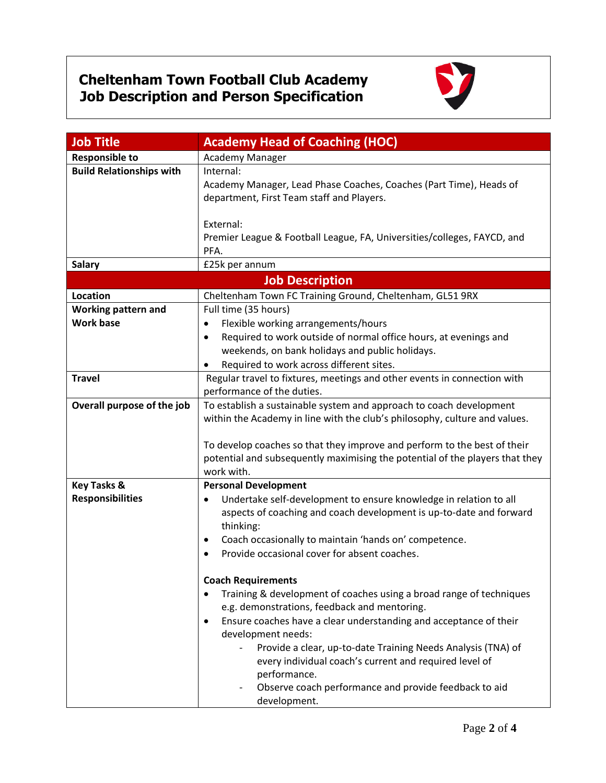## **Cheltenham Town Football Club Academy Job Description and Person Specification**



| <b>Job Title</b>                | <b>Academy Head of Coaching (HOC)</b>                                                                                                             |  |
|---------------------------------|---------------------------------------------------------------------------------------------------------------------------------------------------|--|
| <b>Responsible to</b>           | Academy Manager                                                                                                                                   |  |
| <b>Build Relationships with</b> | Internal:                                                                                                                                         |  |
|                                 | Academy Manager, Lead Phase Coaches, Coaches (Part Time), Heads of                                                                                |  |
|                                 | department, First Team staff and Players.                                                                                                         |  |
|                                 |                                                                                                                                                   |  |
|                                 | External:                                                                                                                                         |  |
|                                 | Premier League & Football League, FA, Universities/colleges, FAYCD, and                                                                           |  |
|                                 | PFA.                                                                                                                                              |  |
| <b>Salary</b>                   | £25k per annum                                                                                                                                    |  |
| <b>Job Description</b>          |                                                                                                                                                   |  |
| Location                        | Cheltenham Town FC Training Ground, Cheltenham, GL51 9RX                                                                                          |  |
| <b>Working pattern and</b>      | Full time (35 hours)                                                                                                                              |  |
| <b>Work base</b>                | Flexible working arrangements/hours<br>$\bullet$                                                                                                  |  |
|                                 | Required to work outside of normal office hours, at evenings and<br>$\bullet$                                                                     |  |
|                                 | weekends, on bank holidays and public holidays.                                                                                                   |  |
|                                 | Required to work across different sites.<br>$\bullet$                                                                                             |  |
| <b>Travel</b>                   | Regular travel to fixtures, meetings and other events in connection with                                                                          |  |
|                                 | performance of the duties.                                                                                                                        |  |
| Overall purpose of the job      | To establish a sustainable system and approach to coach development<br>within the Academy in line with the club's philosophy, culture and values. |  |
|                                 |                                                                                                                                                   |  |
|                                 | To develop coaches so that they improve and perform to the best of their                                                                          |  |
|                                 | potential and subsequently maximising the potential of the players that they                                                                      |  |
|                                 | work with.                                                                                                                                        |  |
| <b>Key Tasks &amp;</b>          | <b>Personal Development</b>                                                                                                                       |  |
| <b>Responsibilities</b>         | Undertake self-development to ensure knowledge in relation to all                                                                                 |  |
|                                 | aspects of coaching and coach development is up-to-date and forward                                                                               |  |
|                                 | thinking:                                                                                                                                         |  |
|                                 | Coach occasionally to maintain 'hands on' competence.<br>٠                                                                                        |  |
|                                 | Provide occasional cover for absent coaches.                                                                                                      |  |
|                                 |                                                                                                                                                   |  |
|                                 | <b>Coach Requirements</b>                                                                                                                         |  |
|                                 | Training & development of coaches using a broad range of techniques<br>e.g. demonstrations, feedback and mentoring.                               |  |
|                                 | Ensure coaches have a clear understanding and acceptance of their<br>$\bullet$                                                                    |  |
|                                 | development needs:                                                                                                                                |  |
|                                 | Provide a clear, up-to-date Training Needs Analysis (TNA) of                                                                                      |  |
|                                 | every individual coach's current and required level of                                                                                            |  |
|                                 | performance.                                                                                                                                      |  |
|                                 | Observe coach performance and provide feedback to aid                                                                                             |  |
|                                 | development.                                                                                                                                      |  |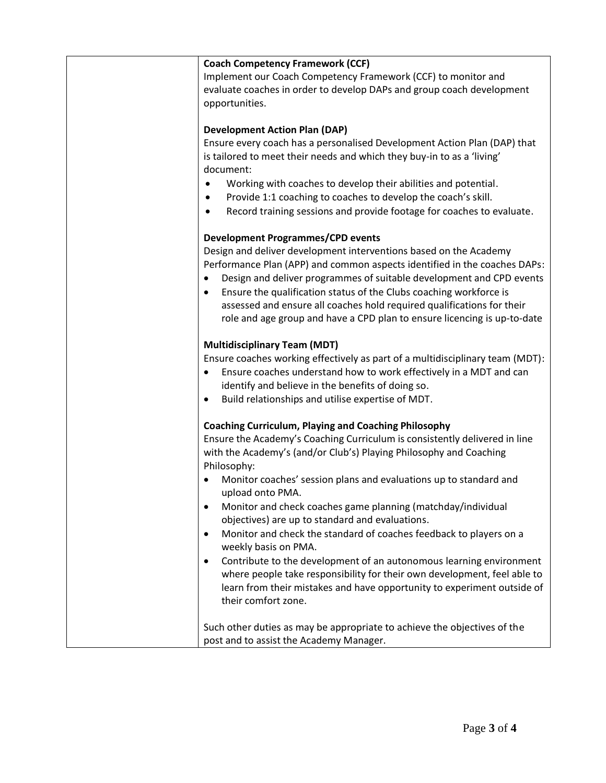| <b>Coach Competency Framework (CCF)</b>                                            |
|------------------------------------------------------------------------------------|
| Implement our Coach Competency Framework (CCF) to monitor and                      |
| evaluate coaches in order to develop DAPs and group coach development              |
| opportunities.                                                                     |
|                                                                                    |
| <b>Development Action Plan (DAP)</b>                                               |
| Ensure every coach has a personalised Development Action Plan (DAP) that           |
| is tailored to meet their needs and which they buy-in to as a 'living'             |
| document:                                                                          |
| Working with coaches to develop their abilities and potential.<br>$\bullet$        |
| Provide 1:1 coaching to coaches to develop the coach's skill.<br>٠                 |
| Record training sessions and provide footage for coaches to evaluate.<br>$\bullet$ |
|                                                                                    |
| <b>Development Programmes/CPD events</b>                                           |
| Design and deliver development interventions based on the Academy                  |
| Performance Plan (APP) and common aspects identified in the coaches DAPs:          |
| Design and deliver programmes of suitable development and CPD events<br>$\bullet$  |
| Ensure the qualification status of the Clubs coaching workforce is                 |
| assessed and ensure all coaches hold required qualifications for their             |
| role and age group and have a CPD plan to ensure licencing is up-to-date           |
|                                                                                    |
| <b>Multidisciplinary Team (MDT)</b>                                                |
| Ensure coaches working effectively as part of a multidisciplinary team (MDT):      |
| Ensure coaches understand how to work effectively in a MDT and can<br>$\bullet$    |
| identify and believe in the benefits of doing so.                                  |
| Build relationships and utilise expertise of MDT.                                  |
|                                                                                    |
| <b>Coaching Curriculum, Playing and Coaching Philosophy</b>                        |
| Ensure the Academy's Coaching Curriculum is consistently delivered in line         |
| with the Academy's (and/or Club's) Playing Philosophy and Coaching                 |
| Philosophy:                                                                        |
| Monitor coaches' session plans and evaluations up to standard and                  |
| upload onto PMA.                                                                   |
| Monitor and check coaches game planning (matchday/individual                       |
| objectives) are up to standard and evaluations.                                    |
| Monitor and check the standard of coaches feedback to players on a<br>$\bullet$    |
| weekly basis on PMA.                                                               |
| Contribute to the development of an autonomous learning environment<br>$\bullet$   |
| where people take responsibility for their own development, feel able to           |
| learn from their mistakes and have opportunity to experiment outside of            |
| their comfort zone.                                                                |
|                                                                                    |
| Such other duties as may be appropriate to achieve the objectives of the           |
| post and to assist the Academy Manager.                                            |
|                                                                                    |